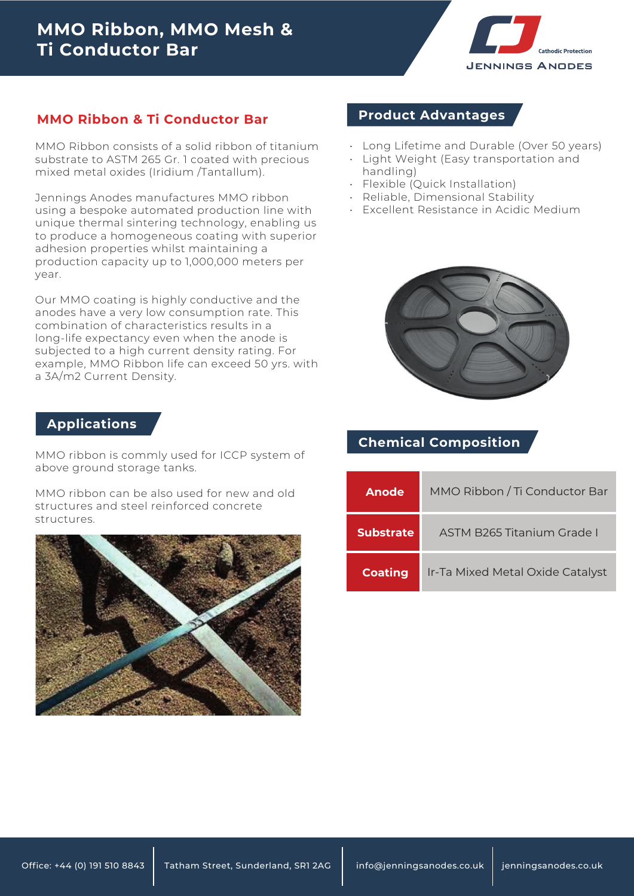

#### **MMO Ribbon & Ti Conductor Bar**

MMO Ribbon consists of a solid ribbon of titanium substrate to ASTM 265 Gr. 1 coated with precious mixed metal oxides (Iridium /Tantallum).

Jennings Anodes manufactures MMO ribbon using a bespoke automated production line with unique thermal sintering technology, enabling us to produce a homogeneous coating with superior adhesion properties whilst maintaining a production capacity up to 1,000,000 meters per year.

Our MMO coating is highly conductive and the anodes have a very low consumption rate. This combination of characteristics results in a long-life expectancy even when the anode is subjected to a high current density rating. For example, MMO Ribbon life can exceed 50 yrs. with a 3A/m2 Current Density.

#### **Applications**

MMO ribbon is commly used for ICCP system of above ground storage tanks.

MMO ribbon can be also used for new and old structures and steel reinforced concrete structures.



#### **Product Advantages**

- Long Lifetime and Durable (Over 50 years)
- Light Weight (Easy transportation and handling)
- Flexible (Quick Installation)
- Reliable, Dimensional Stability •
- Excellent Resistance in Acidic Medium •



## **Chemical Composition**

| Anode            | MMO Ribbon / Ti Conductor Bar    |  |  |  |  |
|------------------|----------------------------------|--|--|--|--|
| <b>Substrate</b> | ASTM B265 Titanium Grade I       |  |  |  |  |
| <b>Coating</b>   | Ir-Ta Mixed Metal Oxide Catalyst |  |  |  |  |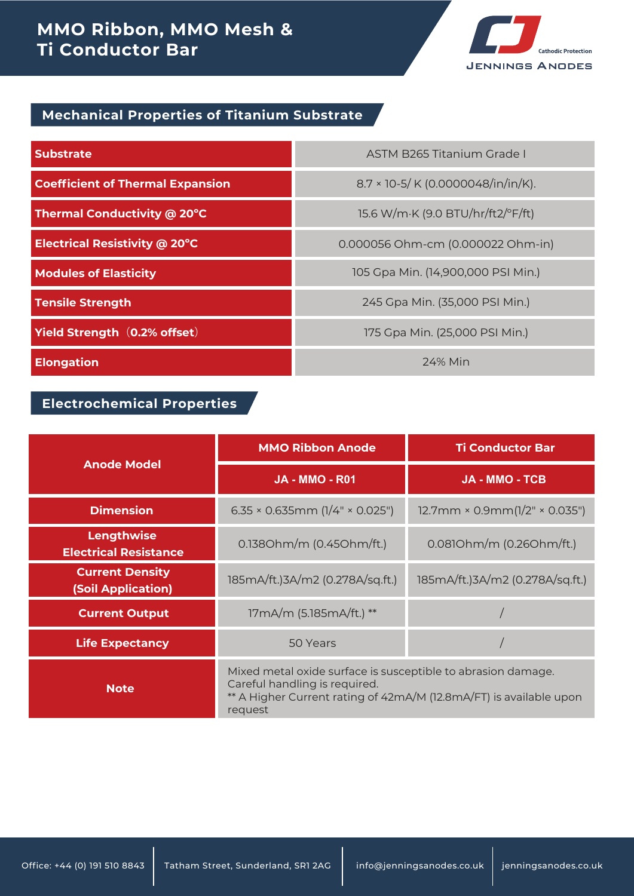# **MMO Ribbon, MMO Mesh & Ti Conductor Bar**



### **Mechanical Properties of Titanium Substrate**

| <b>Substrate</b>                        | <b>ASTM B265 Titanium Grade I</b>  |  |  |
|-----------------------------------------|------------------------------------|--|--|
| <b>Coefficient of Thermal Expansion</b> | 8.7 × 10-5/ K (0.0000048/in/in/K). |  |  |
| Thermal Conductivity @ 20°C             | 15.6 W/m·K (9.0 BTU/hr/ft2/°F/ft)  |  |  |
| Electrical Resistivity @ 20°C           | 0.000056 Ohm-cm (0.000022 Ohm-in)  |  |  |
| <b>Modules of Elasticity</b>            | 105 Gpa Min. (14,900,000 PSI Min.) |  |  |
| <b>Tensile Strength</b>                 | 245 Gpa Min. (35,000 PSI Min.)     |  |  |
| Yield Strength (0.2% offset)            | 175 Gpa Min. (25,000 PSI Min.)     |  |  |
| <b>Elongation</b>                       | 24% Min                            |  |  |

### **Electrochemical Properties**

|                                                     | <b>MMO Ribbon Anode</b>                                                                                                                                                        | <b>Ti Conductor Bar</b>             |  |
|-----------------------------------------------------|--------------------------------------------------------------------------------------------------------------------------------------------------------------------------------|-------------------------------------|--|
| <b>Anode Model</b>                                  | <b>JA - MMO - R01</b>                                                                                                                                                          | <b>JA - MMO - TCB</b>               |  |
| <b>Dimension</b>                                    | $6.35 \times 0.635$ mm (1/4" × 0.025")                                                                                                                                         | $12.7$ mm × 0.9mm $(1/2"$ × 0.035") |  |
| Lengthwise<br><b>Electrical Resistance</b>          | 0.1380hm/m (0.450hm/ft.)                                                                                                                                                       | 0.0810hm/m (0.260hm/ft.)            |  |
| <b>Current Density</b><br><b>(Soil Application)</b> | 185mA/ft.)3A/m2 (0.278A/sq.ft.)                                                                                                                                                | 185mA/ft.)3A/m2 (0.278A/sq.ft.)     |  |
| <b>Current Output</b>                               | 17mA/m (5.185mA/ft.) **                                                                                                                                                        |                                     |  |
| <b>Life Expectancy</b>                              | 50 Years                                                                                                                                                                       |                                     |  |
| <b>Note</b>                                         | Mixed metal oxide surface is susceptible to abrasion damage.<br>Careful handling is required.<br>** A Higher Current rating of 42mA/M (12.8mA/FT) is available upon<br>request |                                     |  |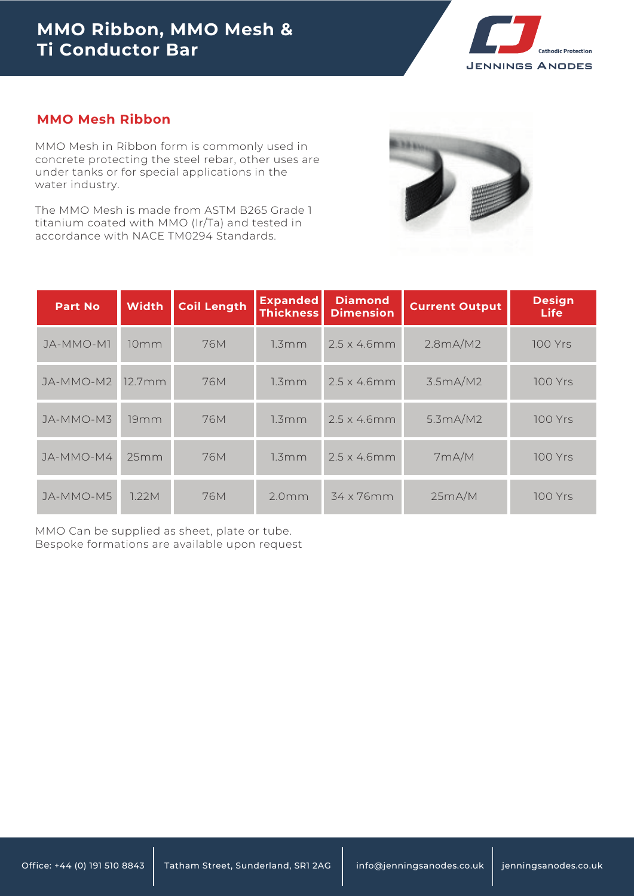

#### **MMO Mesh Ribbon**

MMO Mesh in Ribbon form is commonly used in concrete protecting the steel rebar, other uses are under tanks or for special applications in the water industry.

The MMO Mesh is made from ASTM B265 Grade 1 titanium coated with MMO (Ir/Ta) and tested in

| titanium coated with MMO (II/Ta) and tested in<br>accordance with NACE TM0294 Standards. |              |                    |                                     |                                    |                       |                              |
|------------------------------------------------------------------------------------------|--------------|--------------------|-------------------------------------|------------------------------------|-----------------------|------------------------------|
| <b>Part No</b>                                                                           | <b>Width</b> | <b>Coil Length</b> | <b>Expanded</b><br><b>Thickness</b> | <b>Diamond</b><br><b>Dimension</b> | <b>Current Output</b> | <b>Design</b><br><b>Life</b> |
| JA-MMO-M1                                                                                | 10mm         | 76M                | 1.3mm                               | $2.5 \times 4.6$ mm                | 2.8mA/M2              | <b>100 Yrs</b>               |
| JA-MMO-M2                                                                                | 12.7mm       | 76M                | 1.3mm                               | $2.5 \times 4.6$ mm                | 3.5mA/M2              | <b>100 Yrs</b>               |
| JA-MMO-M3                                                                                | 19mm         | 76M                | 1.3mm                               | $2.5 \times 4.6$ mm                | 5.3mA/M2              | <b>100 Yrs</b>               |
| JA-MMO-M4                                                                                | 25mm         | <b>76M</b>         | 1.3mm                               | $2.5 \times 4.6$ mm                | 7mA/M                 | <b>100 Yrs</b>               |
| JA-MMO-M5                                                                                | 1.22M        | 76M                | 2.0 <sub>mm</sub>                   | 34 x 76mm                          | 25mA/M                | 100 Yrs                      |

MMO Can be supplied as sheet, plate or tube. Bespoke formations are available upon request